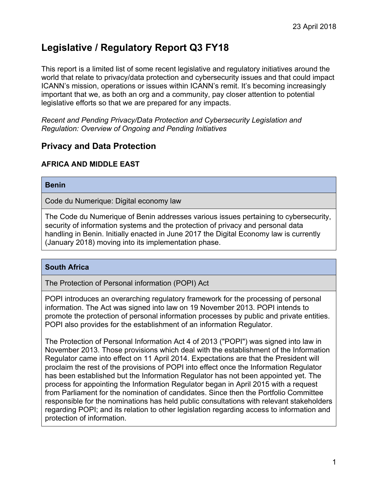# **Legislative / Regulatory Report Q3 FY18**

This report is a limited list of some recent legislative and regulatory initiatives around the world that relate to privacy/data protection and cybersecurity issues and that could impact ICANN's mission, operations or issues within ICANN's remit. It's becoming increasingly important that we, as both an org and a community, pay closer attention to potential legislative efforts so that we are prepared for any impacts.

*Recent and Pending Privacy/Data Protection and Cybersecurity Legislation and Regulation: Overview of Ongoing and Pending Initiatives* 

# **Privacy and Data Protection**

# **AFRICA AND MIDDLE EAST**

#### **Benin**

Code du Numerique: Digital economy law

The Code du Numerique of Benin addresses various issues pertaining to cybersecurity, security of information systems and the protection of privacy and personal data handling in Benin. Initially enacted in June 2017 the Digital Economy law is currently (January 2018) moving into its implementation phase.

### **South Africa**

The Protection of Personal information (POPI) Act

POPI introduces an overarching regulatory framework for the processing of personal information. The Act was signed into law on 19 November 2013. POPI intends to promote the protection of personal information processes by public and private entities. POPI also provides for the establishment of an information Regulator.

The Protection of Personal Information Act 4 of 2013 ("POPI") was signed into law in November 2013. Those provisions which deal with the establishment of the Information Regulator came into effect on 11 April 2014. Expectations are that the President will proclaim the rest of the provisions of POPI into effect once the Information Regulator has been established but the Information Regulator has not been appointed yet. The process for appointing the Information Regulator began in April 2015 with a request from Parliament for the nomination of candidates. Since then the Portfolio Committee responsible for the nominations has held public consultations with relevant stakeholders regarding POPI; and its relation to other legislation regarding access to information and protection of information.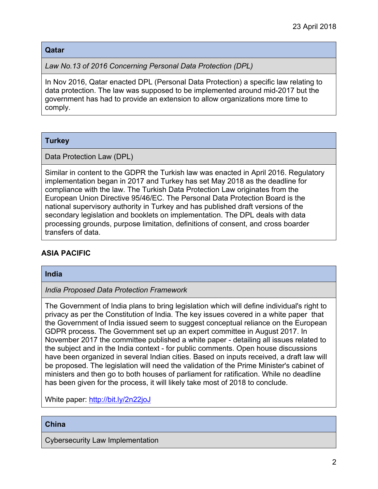### **Qatar**

*Law No.13 of 2016 Concerning Personal Data Protection (DPL)*

In Nov 2016, Qatar enacted DPL (Personal Data Protection) a specific law relating to data protection. The law was supposed to be implemented around mid-2017 but the government has had to provide an extension to allow organizations more time to comply.

# **Turkey**

Data Protection Law (DPL)

Similar in content to the GDPR the Turkish law was enacted in April 2016. Regulatory implementation began in 2017 and Turkey has set May 2018 as the deadline for compliance with the law. The Turkish Data Protection Law originates from the European Union Directive 95/46/EC. The Personal Data Protection Board is the national supervisory authority in Turkey and has published draft versions of the secondary legislation and booklets on implementation. The DPL deals with data processing grounds, purpose limitation, definitions of consent, and cross boarder transfers of data.

# **ASIA PACIFIC**

### **India**

*India Proposed Data Protection Framework*

The Government of India plans to bring legislation which will define individual's right to privacy as per the Constitution of India. The key issues covered in a white paper that the Government of India issued seem to suggest conceptual reliance on the European GDPR process. The Government set up an expert committee in August 2017. In November 2017 the committee published a white paper - detailing all issues related to the subject and in the India context - for public comments. Open house discussions have been organized in several Indian cities. Based on inputs received, a draft law will be proposed. The legislation will need the validation of the Prime Minister's cabinet of ministers and then go to both houses of parliament for ratification. While no deadline has been given for the process, it will likely take most of 2018 to conclude.

White paper:<http://bit.ly/2n22joJ>

### **China**

Cybersecurity Law Implementation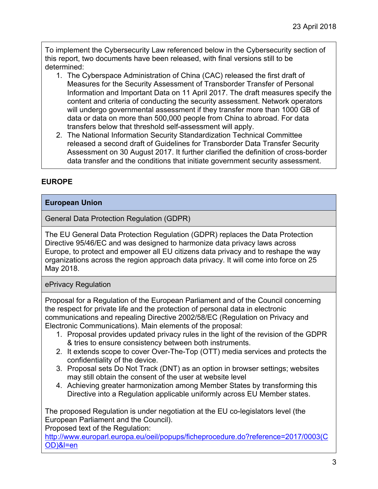To implement the Cybersecurity Law referenced below in the Cybersecurity section of this report, two documents have been released, with final versions still to be determined:

- 1. The Cyberspace Administration of China (CAC) released the first draft of Measures for the Security Assessment of Transborder Transfer of Personal Information and Important Data on 11 April 2017. The draft measures specify the content and criteria of conducting the security assessment. Network operators will undergo governmental assessment if they transfer more than 1000 GB of data or data on more than 500,000 people from China to abroad. For data transfers below that threshold self-assessment will apply.
- 2. The National Information Security Standardization Technical Committee released a second draft of Guidelines for Transborder Data Transfer Security Assessment on 30 August 2017. It further clarified the definition of cross-border data transfer and the conditions that initiate government security assessment.

# **EUROPE**

# **European Union**

General Data Protection Regulation (GDPR)

The EU General Data Protection Regulation (GDPR) replaces the Data Protection Directive 95/46/EC and was designed to harmonize data privacy laws across Europe, to protect and empower all EU citizens data privacy and to reshape the way organizations across the region approach data privacy. It will come into force on 25 May 2018.

ePrivacy Regulation

Proposal for a Regulation of the European Parliament and of the Council concerning the respect for private life and the protection of personal data in electronic communications and repealing Directive 2002/58/EC (Regulation on Privacy and Electronic Communications). Main elements of the proposal:

- 1. Proposal provides updated privacy rules in the light of the revision of the GDPR & tries to ensure consistency between both instruments.
- 2. It extends scope to cover Over-The-Top (OTT) media services and protects the confidentiality of the device.
- 3. Proposal sets Do Not Track (DNT) as an option in browser settings; websites may still obtain the consent of the user at website level
- 4. Achieving greater harmonization among Member States by transforming this Directive into a Regulation applicable uniformly across EU Member states.

The proposed Regulation is under negotiation at the EU co-legislators level (the European Parliament and the Council).

Proposed text of the Regulation:

[http://www.europarl.europa.eu/oeil/popups/ficheprocedure.do?reference=2017/0003\(C](http://www.europarl.europa.eu/oeil/popups/ficheprocedure.do?reference=2017/0003(COD)&l=en) [OD\)&l=en](http://www.europarl.europa.eu/oeil/popups/ficheprocedure.do?reference=2017/0003(COD)&l=en)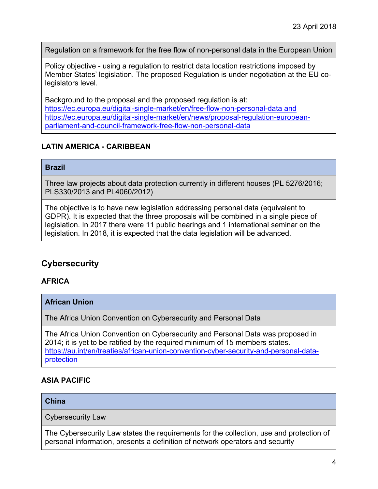Regulation on a framework for the free flow of non-personal data in the European Union

Policy objective - using a regulation to restrict data location restrictions imposed by Member States' legislation. The proposed Regulation is under negotiation at the EU colegislators level.

Background to the proposal and the proposed regulation is at: <https://ec.europa.eu/digital-single-market/en/free-flow-non-personal-data> and https://ec.europa.eu/digital-single-market/en/news/proposal-regulation-europeanparliament-and-council-framework-free-flow-non-personal-data

# **LATIN AMERICA - CARIBBEAN**

#### **Brazil**

Three law projects about data protection currently in different houses (PL 5276/2016; PLS330/2013 and PL4060/2012)

The objective is to have new legislation addressing personal data (equivalent to GDPR). It is expected that the three proposals will be combined in a single piece of legislation. In 2017 there were 11 public hearings and 1 international seminar on the legislation. In 2018, it is expected that the data legislation will be advanced.

# **Cybersecurity**

# **AFRICA**

**African Union**

The Africa Union Convention on Cybersecurity and Personal Data

The Africa Union Convention on Cybersecurity and Personal Data was proposed in 2014; it is yet to be ratified by the required minimum of 15 members states. [https://au.int/en/treaties/african-union-convention-cyber-security-and-personal-data](https://au.int/en/treaties/african-union-convention-cyber-security-and-personal-data-protection)[protection](https://au.int/en/treaties/african-union-convention-cyber-security-and-personal-data-protection)

# **ASIA PACIFIC**

### **China**

Cybersecurity Law

The Cybersecurity Law states the requirements for the collection, use and protection of personal information, presents a definition of network operators and security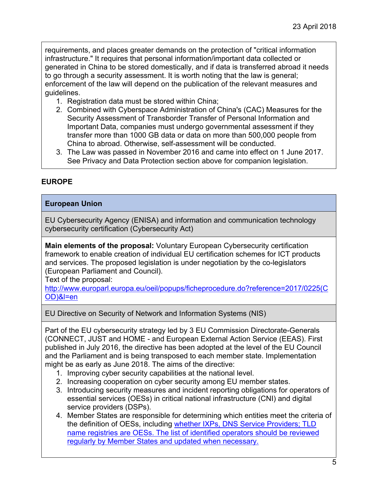requirements, and places greater demands on the protection of "critical information infrastructure." It requires that personal information/important data collected or generated in China to be stored domestically, and if data is transferred abroad it needs to go through a security assessment. It is worth noting that the law is general; enforcement of the law will depend on the publication of the relevant measures and guidelines.

- 1. Registration data must be stored within China;
- 2. Combined with Cyberspace Administration of China's (CAC) Measures for the Security Assessment of Transborder Transfer of Personal Information and Important Data, companies must undergo governmental assessment if they transfer more than 1000 GB data or data on more than 500,000 people from China to abroad. Otherwise, self-assessment will be conducted.
- 3. The Law was passed in November 2016 and came into effect on 1 June 2017. See Privacy and Data Protection section above for companion legislation.

# **EUROPE**

# **European Union**

EU Cybersecurity Agency (ENISA) and information and communication technology cybersecurity certification (Cybersecurity Act)

**Main elements of the proposal:** Voluntary European Cybersecurity certification framework to enable creation of individual EU certification schemes for ICT products and services. The proposed legislation is under negotiation by the co-legislators (European Parliament and Council).

Text of the proposal:

[http://www.europarl.europa.eu/oeil/popups/ficheprocedure.do?reference=2017/0225\(C](http://www.europarl.europa.eu/oeil/popups/ficheprocedure.do?reference=2017/0225(COD)&l=en) [OD\)&l=en](http://www.europarl.europa.eu/oeil/popups/ficheprocedure.do?reference=2017/0225(COD)&l=en) 

EU Directive on Security of Network and Information Systems (NIS)

Part of the EU cybersecurity strategy led by 3 EU Commission Directorate-Generals (CONNECT, JUST and HOME - and European External Action Service (EEAS). First published in July 2016, the directive has been adopted at the level of the EU Council and the Parliament and is being transposed to each member state. Implementation might be as early as June 2018. The aims of the directive:

- 1. Improving cyber security capabilities at the national level.
- 2. Increasing cooperation on cyber security among EU member states.
- 3. Introducing security measures and incident reporting obligations for operators of essential services (OESs) in critical national infrastructure (CNI) and digital service providers (DSPs).
- 4. Member States are responsible for determining which entities meet the criteria of the definition of OESs, including whether IXPs, DNS Service Providers; TLD name registries are OESs. The list of identified operators should be reviewed regularly by Member States and updated when necessary.